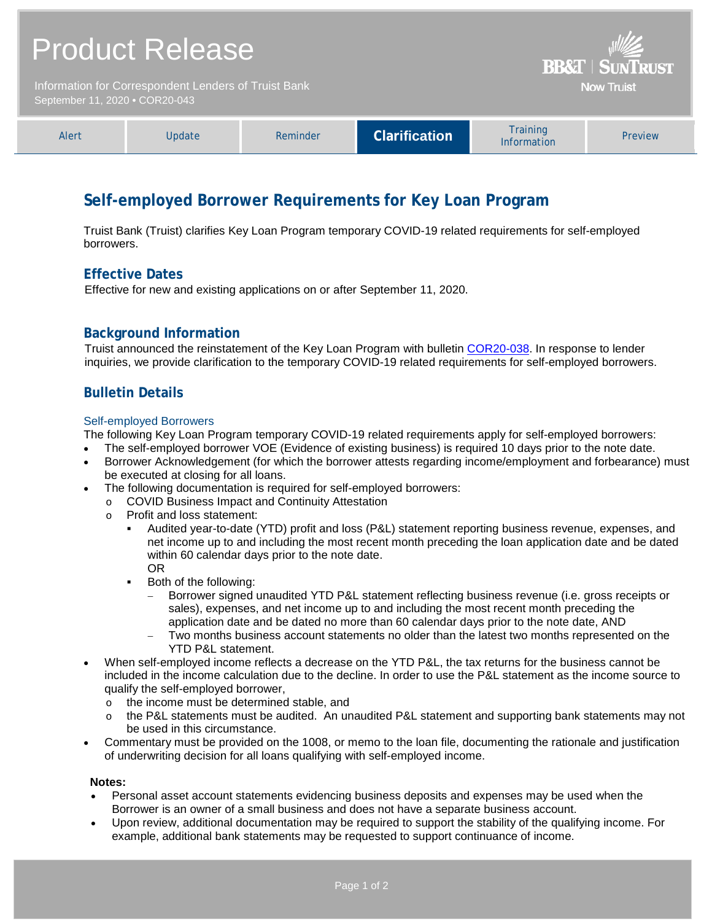| <b>Product Release</b><br>Information for Correspondent Lenders of Truist Bank<br>September 11, 2020 . COR20-043 |        |          |                      | <b>BB&amp;T   SUNTRUST</b><br><b>Now Truist</b> |         |
|------------------------------------------------------------------------------------------------------------------|--------|----------|----------------------|-------------------------------------------------|---------|
| Alert                                                                                                            | Update | Reminder | <b>Clarification</b> | <b>Training</b><br><b>Information</b>           | Preview |

# **Self-employed Borrower Requirements for Key Loan Program**

Truist Bank (Truist) clarifies Key Loan Program temporary COVID-19 related requirements for self-employed borrowers.

### **Effective Dates**

Effective for new and existing applications on or after September 11, 2020.

### **Background Information**

Truist announced the reinstatement of the Key Loan Program with bulletin [COR20-038.](https://www.truistsellerguide.com/Manual/cor/bulletins/archive/Cr20-038.pdf) In response to lender inquiries, we provide clarification to the temporary COVID-19 related requirements for self-employed borrowers.

### **Bulletin Details**

#### Self-employed Borrowers

The following Key Loan Program temporary COVID-19 related requirements apply for self-employed borrowers:

- The self-employed borrower VOE (Evidence of existing business) is required 10 days prior to the note date.
- Borrower Acknowledgement (for which the borrower attests regarding income/employment and forbearance) must be executed at closing for all loans.
- The following documentation is required for self-employed borrowers:
	- o COVID Business Impact and Continuity Attestation<br>
	o Profit and loss statement:
	- Profit and loss statement:
		- Audited year-to-date (YTD) profit and loss (P&L) statement reporting business revenue, expenses, and net income up to and including the most recent month preceding the loan application date and be dated within 60 calendar days prior to the note date. OR
		- **Both of the following:** 
			- Borrower signed unaudited YTD P&L statement reflecting business revenue (i.e. gross receipts or sales), expenses, and net income up to and including the most recent month preceding the application date and be dated no more than 60 calendar days prior to the note date, AND
			- − Two months business account statements no older than the latest two months represented on the YTD P&L statement.
- When self-employed income reflects a decrease on the YTD P&L, the tax returns for the business cannot be included in the income calculation due to the decline. In order to use the P&L statement as the income source to qualify the self-employed borrower,
	- $\circ$  the income must be determined stable, and<br> $\circ$  the P&L statements must be audited. An un
	- the P&L statements must be audited. An unaudited P&L statement and supporting bank statements may not be used in this circumstance.
- Commentary must be provided on the 1008, or memo to the loan file, documenting the rationale and justification of underwriting decision for all loans qualifying with self-employed income.

#### **Notes:**

- Personal asset account statements evidencing business deposits and expenses may be used when the Borrower is an owner of a small business and does not have a separate business account.
- Upon review, additional documentation may be required to support the stability of the qualifying income. For example, additional bank statements may be requested to support continuance of income.